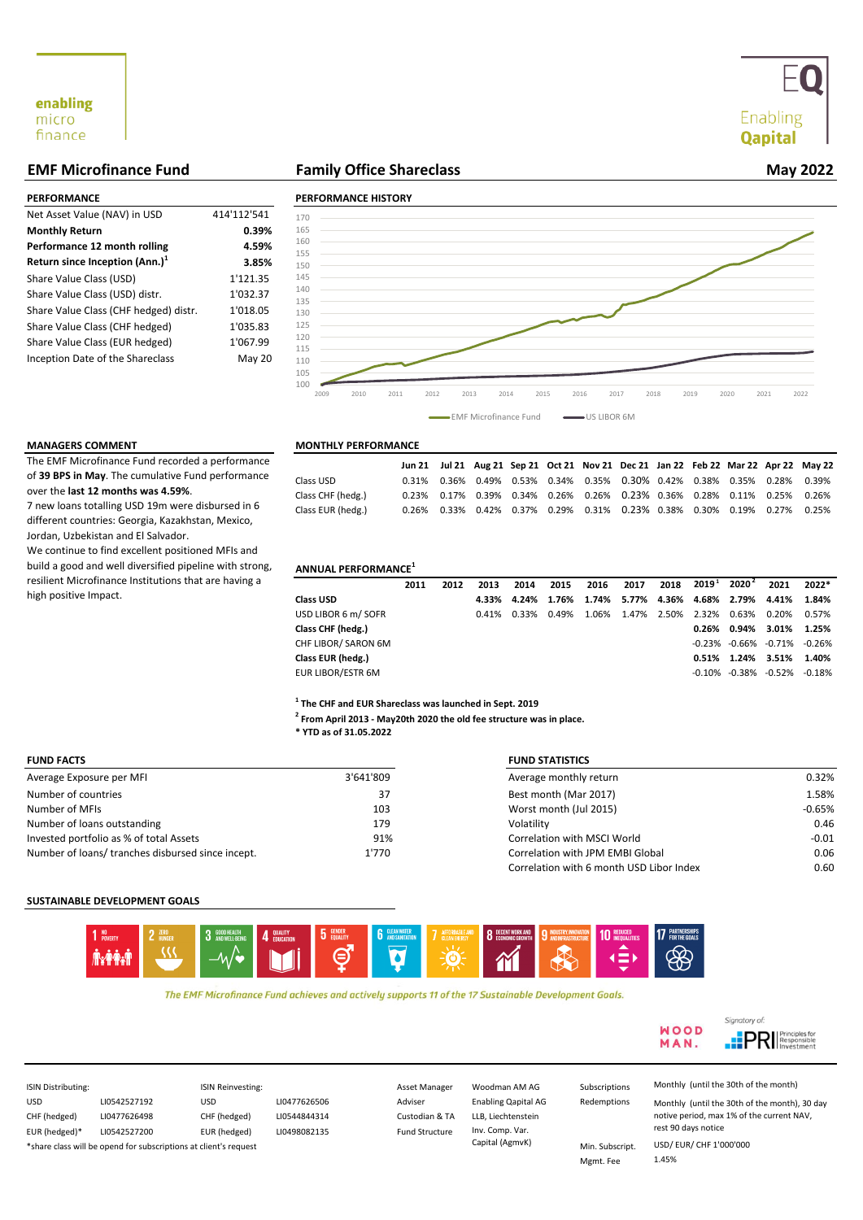# Enabling **Qapital**

# **EMF Microfinance Fund Family Office Shareclass**

| PERFORMANCE                           |             | <b>PERFORMANCE HIST</b> |
|---------------------------------------|-------------|-------------------------|
| Net Asset Value (NAV) in USD          | 414'112'541 | 170                     |
| <b>Monthly Return</b>                 | 0.39%       | 165                     |
| Performance 12 month rolling          | 4.59%       | 160                     |
| Return since Inception $(Ann.)1$      | 3.85%       | 155<br>150              |
| Share Value Class (USD)               | 1'121.35    | 145                     |
| Share Value Class (USD) distr.        | 1'032.37    | 140                     |
| Share Value Class (CHF hedged) distr. | 1'018.05    | 135<br>130              |
| Share Value Class (CHF hedged)        | 1'035.83    | 125                     |
| Share Value Class (EUR hedged)        | 1'067.99    | 120                     |
| Inception Date of the Shareclass      | May 20      | 115<br>110              |

# **May 2022**

## **PERFORMANCE PERFORMANCE HISTORY 3.85%** 150 100 105 110 115 120 125 130 135 140 145 155 160 165 170 2009 2010 2011 2012 2013 2014 2015 2016 2017 2018 2019 2020 2021 2022 EMF Microfinance Fund US LIBOR 6M

The EMF Microfinance Fund recorded a performance of **39 BPS in May**. The cumulative Fund performance over the **last 12 months was 4.59%**.

7 new loans totalling USD 19m were disbursed in 6 different countries: Georgia, Kazakhstan, Mexico, Jordan, Uzbekistan and El Salvador.

We continue to find excellent positioned MFIs and build a good and well diversified pipeline with strong, resilient Microfinance Institutions that are having a high positive Impact.

# **MANAGERS COMMENT MONTHLY PERFORMANCE**

|                   |  |  | Jun 21 Jul 21 Aug 21 Sep 21 Oct 21 Nov 21 Dec 21 Jan 22 Feb 22 Mar 22 Apr 22 May 22 |  |  |  |
|-------------------|--|--|-------------------------------------------------------------------------------------|--|--|--|
| Class USD         |  |  | $0.31\%$ 0.36% 0.49% 0.53% 0.34% 0.35% 0.30% 0.42% 0.38% 0.35% 0.28% 0.39%          |  |  |  |
| Class CHF (hedg.) |  |  | $0.23\%$ 0.17% 0.39% 0.34% 0.26% 0.26% 0.23% 0.36% 0.28% 0.11% 0.25% 0.26%          |  |  |  |
| Class EUR (hedg.) |  |  | 0.26% 0.33% 0.42% 0.37% 0.29% 0.31% 0.23% 0.38% 0.30% 0.19% 0.27% 0.25%             |  |  |  |

# **ANNUAL PERFORMANCE<sup>1</sup>**

|                     | 2011 | 2012 | 2013  | 2014  | 2015        | 2016                          | 2017        | 2018 |       | $2019^{\,1}\quad 2020^{\,2}$ | 2021                                    | 2022* |
|---------------------|------|------|-------|-------|-------------|-------------------------------|-------------|------|-------|------------------------------|-----------------------------------------|-------|
| <b>Class USD</b>    |      |      | 4.33% |       | 4.24% 1.76% | 1.74% 5.77% 4.36% 4.68% 2.79% |             |      |       |                              | 4.41%                                   | 1.84% |
| USD LIBOR 6 m/ SOFR |      |      | 0.41% | 0.33% | 0.49%       | 1.06%                         | 1.47% 2.50% |      | 2.32% | 0.63%                        | 0.20%                                   | 0.57% |
| Class CHF (hedg.)   |      |      |       |       |             |                               |             |      | 0.26% | 0.94%                        | 3.01% 1.25%                             |       |
| CHF LIBOR/ SARON 6M |      |      |       |       |             |                               |             |      |       |                              | $-0.23\%$ $-0.66\%$ $-0.71\%$ $-0.26\%$ |       |
| Class EUR (hedg.)   |      |      |       |       |             |                               |             |      |       | 0.51% 1.24% 3.51%            |                                         | 1.40% |
| EUR LIBOR/ESTR 6M   |      |      |       |       |             |                               |             |      |       | $-0.10\% -0.38\%$            | -0.52% -0.18%                           |       |

**1 The CHF and EUR Shareclass was launched in Sept. 2019**

**2 From April 2013 - May20th 2020 the old fee structure was in place.** 

**\* YTD as of 31.05.2022**

| <b>FUND FACTS</b>                                 |           | <b>FUND STATISTICS</b>                   |          |
|---------------------------------------------------|-----------|------------------------------------------|----------|
| Average Exposure per MFI                          | 3'641'809 | Average monthly return                   | 0.32%    |
| Number of countries                               | 37        | Best month (Mar 2017)                    | 1.58%    |
| Number of MFIs                                    | 103       | Worst month (Jul 2015)                   | $-0.65%$ |
| Number of loans outstanding                       | 179       | Volatility                               | 0.46     |
| Invested portfolio as % of total Assets           | 91%       | Correlation with MSCI World              | $-0.01$  |
| Number of loans/ tranches disbursed since incept. | 1'770     | Correlation with JPM EMBI Global         | 0.06     |
|                                                   |           | Correlation with 6 month USD Libor Index | 0.60     |

# **SUSTAINABLE DEVELOPMENT GOALS**



The EMF Microfinance Fund achieves and actively supports 11 of the 17 Sustainable Development Goals.



| ISIN Distributing: |                                                                  | <b>ISIN Reinvesting:</b> |              | Asset Manager         | Woodman AM AG              | Subscriptions   | Monthly (until the 30th of the month)         |
|--------------------|------------------------------------------------------------------|--------------------------|--------------|-----------------------|----------------------------|-----------------|-----------------------------------------------|
| <b>USD</b>         | LI0542527192                                                     | <b>USD</b>               | LI0477626506 | Adviser               | <b>Enabling Qapital AG</b> | Redemptions     | Monthly (until the 30th of the month), 30 day |
| CHF (hedged)       | LI0477626498                                                     | CHF (hedged)             | LI0544844314 | Custodian & TA        | LLB. Liechtenstein         |                 | notive period, max 1% of the current NAV,     |
| EUR (hedged)*      | LI0542527200                                                     | EUR (hedged)             | LI0498082135 | <b>Fund Structure</b> | Inv. Comp. Var.            |                 | rest 90 days notice                           |
|                    | *share class will be opend for subscriptions at client's request |                          |              |                       | Capital (AgmvK)            | Min. Subscript. | USD/ EUR/ CHF 1'000'000                       |
|                    |                                                                  |                          |              |                       |                            | Mgmt. Fee       | 1.45%                                         |